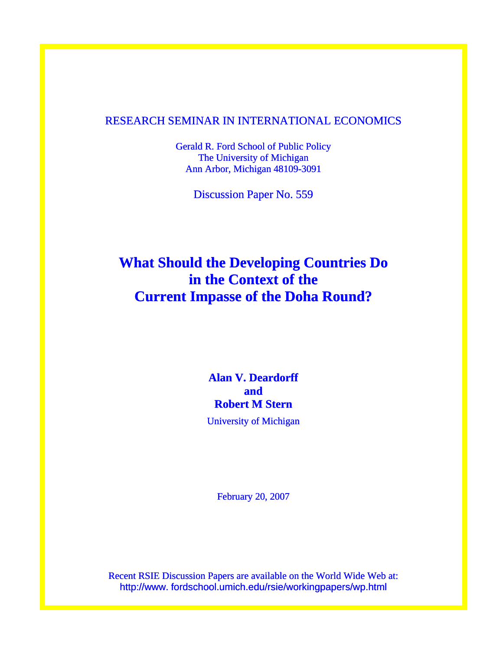## RESEARCH SEMINAR IN INTERNATIONAL ECONOMICS

Gerald R. Ford School of Public Policy The University of Michigan Ann Arbor, Michigan 48109-3091

Discussion Paper No. 559

# **What Should the Developing Countries Do in the Context of the Current Impasse of the Doha Round?**

# **Alan V. Deardorff and Robert M Stern**

University of Michigan

February 20, 2007

Recent RSIE Discussion Papers are available on the World Wide Web at: http://www. fordschool.umich.edu/rsie/workingpapers/wp.html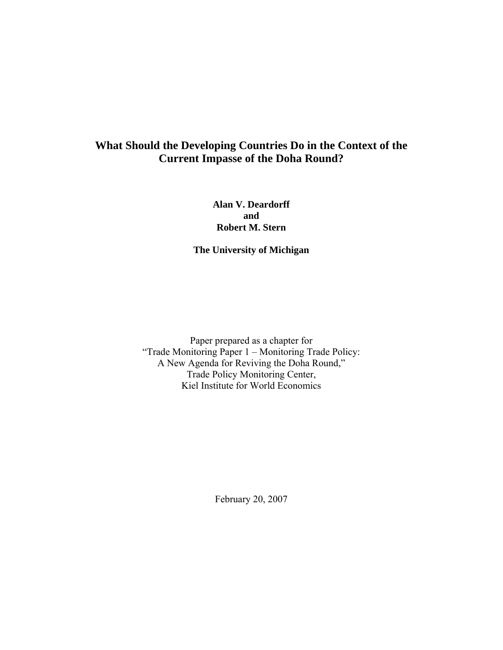## **What Should the Developing Countries Do in the Context of the Current Impasse of the Doha Round?**

**Alan V. Deardorff and Robert M. Stern** 

**The University of Michigan** 

Paper prepared as a chapter for "Trade Monitoring Paper 1 – Monitoring Trade Policy: A New Agenda for Reviving the Doha Round," Trade Policy Monitoring Center, Kiel Institute for World Economics

February 20, 2007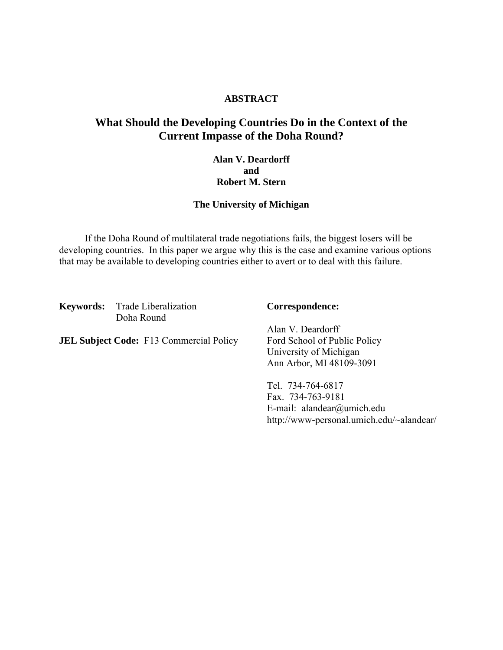#### **ABSTRACT**

## **What Should the Developing Countries Do in the Context of the Current Impasse of the Doha Round?**

### **Alan V. Deardorff and Robert M. Stern**

#### **The University of Michigan**

 If the Doha Round of multilateral trade negotiations fails, the biggest losers will be developing countries. In this paper we argue why this is the case and examine various options that may be available to developing countries either to avert or to deal with this failure.

**Keywords:** Trade Liberalization **Correspondence:** Doha Round

**JEL Subject Code:** F13 Commercial Policy Ford School of Public Policy

Alan V. Deardorff University of Michigan Ann Arbor, MI 48109-3091

Tel. 734-764-6817 Fax. 734-763-9181 E-mail: alandear@umich.edu http://www-personal.umich.edu/~alandear/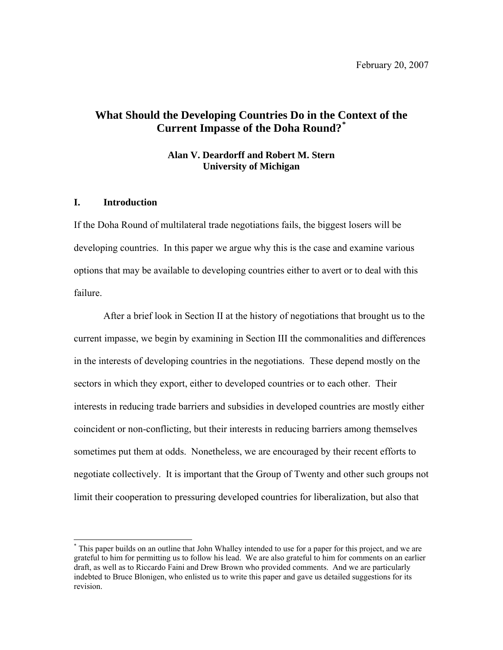## **What Should the Developing Countries Do in the [Co](#page-3-0)ntext of the Current Impasse of the Doha Round?[\\*](#page-3-0)**

#### **Alan V. Deardorff and Robert M. Stern University of Michigan**

#### **I. Introduction**

 $\overline{\phantom{a}}$ 

If the Doha Round of multilateral trade negotiations fails, the biggest losers will be developing countries. In this paper we argue why this is the case and examine various options that may be available to developing countries either to avert or to deal with this failure.

After a brief look in Section II at the history of negotiations that brought us to the current impasse, we begin by examining in Section III the commonalities and differences in the interests of developing countries in the negotiations. These depend mostly on the sectors in which they export, either to developed countries or to each other. Their interests in reducing trade barriers and subsidies in developed countries are mostly either coincident or non-conflicting, but their interests in reducing barriers among themselves sometimes put them at odds. Nonetheless, we are encouraged by their recent efforts to negotiate collectively. It is important that the Group of Twenty and other such groups not limit their cooperation to pressuring developed countries for liberalization, but also that

<span id="page-3-0"></span><sup>\*</sup> This paper builds on an outline that John Whalley intended to use for a paper for this project, and we are grateful to him for permitting us to follow his lead. We are also grateful to him for comments on an earlier draft, as well as to Riccardo Faini and Drew Brown who provided comments. And we are particularly indebted to Bruce Blonigen, who enlisted us to write this paper and gave us detailed suggestions for its revision.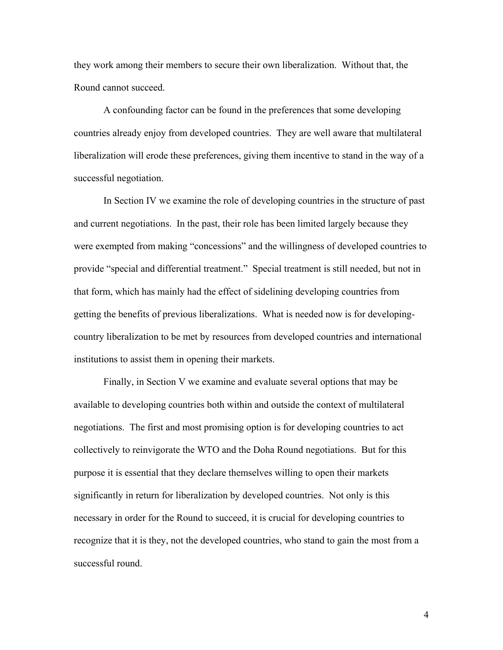they work among their members to secure their own liberalization. Without that, the Round cannot succeed.

A confounding factor can be found in the preferences that some developing countries already enjoy from developed countries. They are well aware that multilateral liberalization will erode these preferences, giving them incentive to stand in the way of a successful negotiation.

In Section IV we examine the role of developing countries in the structure of past and current negotiations. In the past, their role has been limited largely because they were exempted from making "concessions" and the willingness of developed countries to provide "special and differential treatment." Special treatment is still needed, but not in that form, which has mainly had the effect of sidelining developing countries from getting the benefits of previous liberalizations. What is needed now is for developingcountry liberalization to be met by resources from developed countries and international institutions to assist them in opening their markets.

Finally, in Section V we examine and evaluate several options that may be available to developing countries both within and outside the context of multilateral negotiations. The first and most promising option is for developing countries to act collectively to reinvigorate the WTO and the Doha Round negotiations. But for this purpose it is essential that they declare themselves willing to open their markets significantly in return for liberalization by developed countries. Not only is this necessary in order for the Round to succeed, it is crucial for developing countries to recognize that it is they, not the developed countries, who stand to gain the most from a successful round.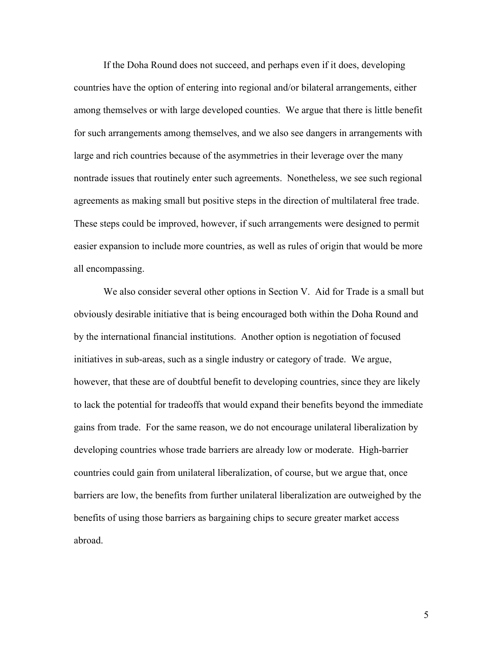If the Doha Round does not succeed, and perhaps even if it does, developing countries have the option of entering into regional and/or bilateral arrangements, either among themselves or with large developed counties. We argue that there is little benefit for such arrangements among themselves, and we also see dangers in arrangements with large and rich countries because of the asymmetries in their leverage over the many nontrade issues that routinely enter such agreements. Nonetheless, we see such regional agreements as making small but positive steps in the direction of multilateral free trade. These steps could be improved, however, if such arrangements were designed to permit easier expansion to include more countries, as well as rules of origin that would be more all encompassing.

We also consider several other options in Section V. Aid for Trade is a small but obviously desirable initiative that is being encouraged both within the Doha Round and by the international financial institutions. Another option is negotiation of focused initiatives in sub-areas, such as a single industry or category of trade. We argue, however, that these are of doubtful benefit to developing countries, since they are likely to lack the potential for tradeoffs that would expand their benefits beyond the immediate gains from trade. For the same reason, we do not encourage unilateral liberalization by developing countries whose trade barriers are already low or moderate. High-barrier countries could gain from unilateral liberalization, of course, but we argue that, once barriers are low, the benefits from further unilateral liberalization are outweighed by the benefits of using those barriers as bargaining chips to secure greater market access abroad.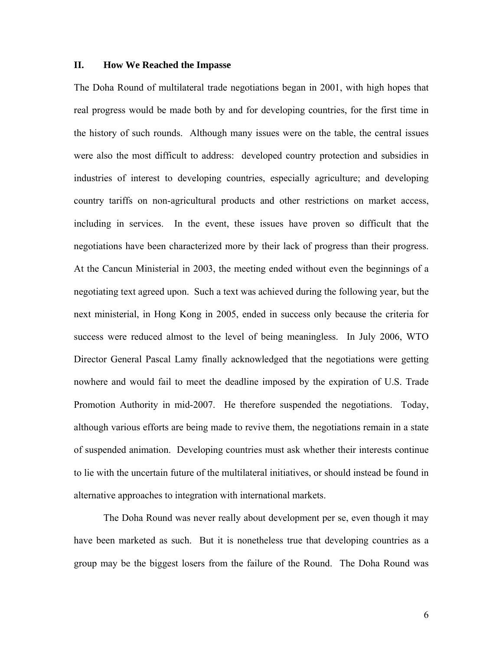#### **II. How We Reached the Impasse**

The Doha Round of multilateral trade negotiations began in 2001, with high hopes that real progress would be made both by and for developing countries, for the first time in the history of such rounds. Although many issues were on the table, the central issues were also the most difficult to address: developed country protection and subsidies in industries of interest to developing countries, especially agriculture; and developing country tariffs on non-agricultural products and other restrictions on market access, including in services. In the event, these issues have proven so difficult that the negotiations have been characterized more by their lack of progress than their progress. At the Cancun Ministerial in 2003, the meeting ended without even the beginnings of a negotiating text agreed upon. Such a text was achieved during the following year, but the next ministerial, in Hong Kong in 2005, ended in success only because the criteria for success were reduced almost to the level of being meaningless. In July 2006, WTO Director General Pascal Lamy finally acknowledged that the negotiations were getting nowhere and would fail to meet the deadline imposed by the expiration of U.S. Trade Promotion Authority in mid-2007. He therefore suspended the negotiations. Today, although various efforts are being made to revive them, the negotiations remain in a state of suspended animation. Developing countries must ask whether their interests continue to lie with the uncertain future of the multilateral initiatives, or should instead be found in alternative approaches to integration with international markets.

 The Doha Round was never really about development per se, even though it may have been marketed as such. But it is nonetheless true that developing countries as a group may be the biggest losers from the failure of the Round. The Doha Round was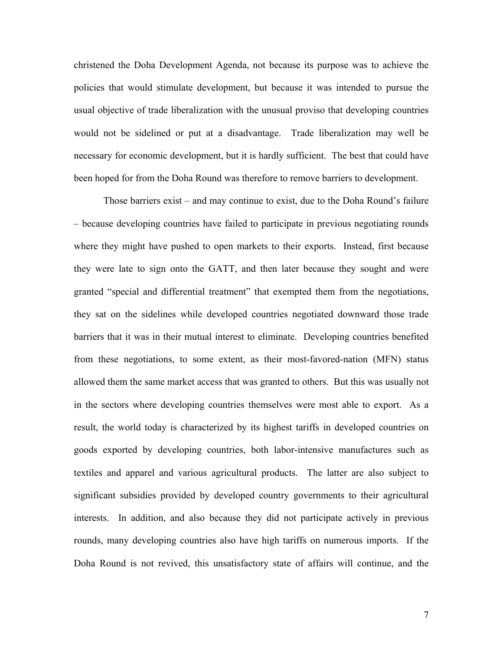christened the Doha Development Agenda, not because its purpose was to achieve the policies that would stimulate development, but because it was intended to pursue the usual objective of trade liberalization with the unusual proviso that developing countries would not be sidelined or put at a disadvantage. Trade liberalization may well be necessary for economic development, but it is hardly sufficient. The best that could have been hoped for from the Doha Round was therefore to remove barriers to development.

 Those barriers exist – and may continue to exist, due to the Doha Round's failure – because developing countries have failed to participate in previous negotiating rounds where they might have pushed to open markets to their exports. Instead, first because they were late to sign onto the GATT, and then later because they sought and were granted "special and differential treatment" that exempted them from the negotiations, they sat on the sidelines while developed countries negotiated downward those trade barriers that it was in their mutual interest to eliminate. Developing countries benefited from these negotiations, to some extent, as their most-favored-nation (MFN) status allowed them the same market access that was granted to others. But this was usually not in the sectors where developing countries themselves were most able to export. As a result, the world today is characterized by its highest tariffs in developed countries on goods exported by developing countries, both labor-intensive manufactures such as textiles and apparel and various agricultural products. The latter are also subject to significant subsidies provided by developed country governments to their agricultural interests. In addition, and also because they did not participate actively in previous rounds, many developing countries also have high tariffs on numerous imports. If the Doha Round is not revived, this unsatisfactory state of affairs will continue, and the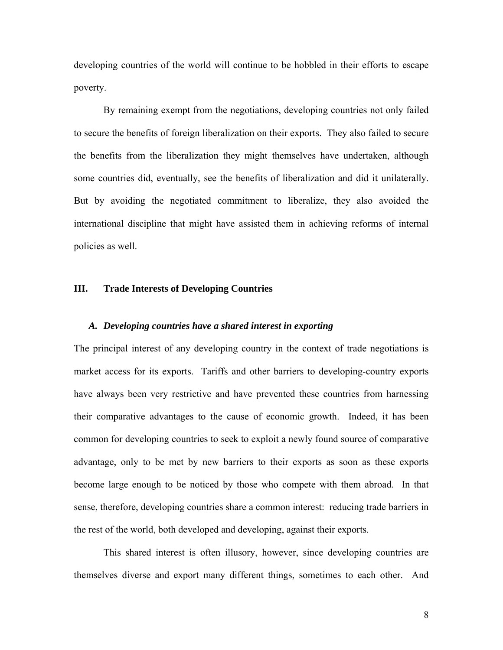developing countries of the world will continue to be hobbled in their efforts to escape poverty.

 By remaining exempt from the negotiations, developing countries not only failed to secure the benefits of foreign liberalization on their exports. They also failed to secure the benefits from the liberalization they might themselves have undertaken, although some countries did, eventually, see the benefits of liberalization and did it unilaterally. But by avoiding the negotiated commitment to liberalize, they also avoided the international discipline that might have assisted them in achieving reforms of internal policies as well.

#### **III. Trade Interests of Developing Countries**

#### *A. Developing countries have a shared interest in exporting*

The principal interest of any developing country in the context of trade negotiations is market access for its exports. Tariffs and other barriers to developing-country exports have always been very restrictive and have prevented these countries from harnessing their comparative advantages to the cause of economic growth. Indeed, it has been common for developing countries to seek to exploit a newly found source of comparative advantage, only to be met by new barriers to their exports as soon as these exports become large enough to be noticed by those who compete with them abroad. In that sense, therefore, developing countries share a common interest: reducing trade barriers in the rest of the world, both developed and developing, against their exports.

 This shared interest is often illusory, however, since developing countries are themselves diverse and export many different things, sometimes to each other. And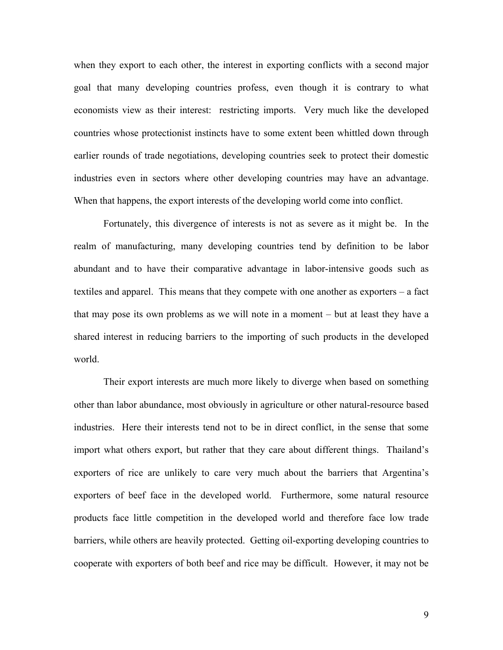when they export to each other, the interest in exporting conflicts with a second major goal that many developing countries profess, even though it is contrary to what economists view as their interest: restricting imports. Very much like the developed countries whose protectionist instincts have to some extent been whittled down through earlier rounds of trade negotiations, developing countries seek to protect their domestic industries even in sectors where other developing countries may have an advantage. When that happens, the export interests of the developing world come into conflict.

 Fortunately, this divergence of interests is not as severe as it might be. In the realm of manufacturing, many developing countries tend by definition to be labor abundant and to have their comparative advantage in labor-intensive goods such as textiles and apparel. This means that they compete with one another as exporters – a fact that may pose its own problems as we will note in a moment – but at least they have a shared interest in reducing barriers to the importing of such products in the developed world.

 Their export interests are much more likely to diverge when based on something other than labor abundance, most obviously in agriculture or other natural-resource based industries. Here their interests tend not to be in direct conflict, in the sense that some import what others export, but rather that they care about different things. Thailand's exporters of rice are unlikely to care very much about the barriers that Argentina's exporters of beef face in the developed world. Furthermore, some natural resource products face little competition in the developed world and therefore face low trade barriers, while others are heavily protected. Getting oil-exporting developing countries to cooperate with exporters of both beef and rice may be difficult. However, it may not be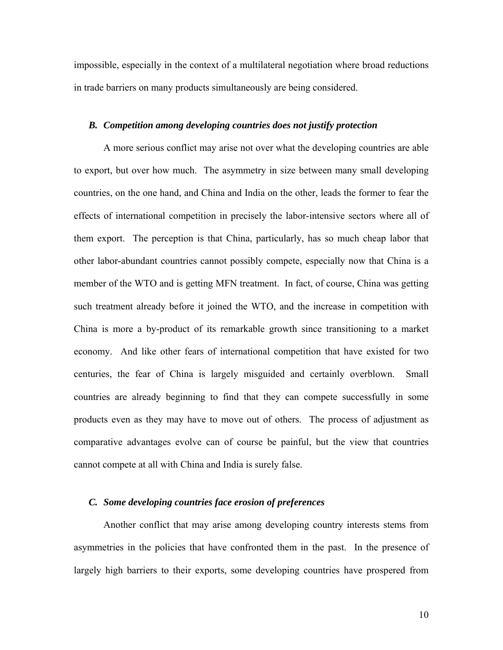impossible, especially in the context of a multilateral negotiation where broad reductions in trade barriers on many products simultaneously are being considered.

#### *B. Competition among developing countries does not justify protection*

 A more serious conflict may arise not over what the developing countries are able to export, but over how much. The asymmetry in size between many small developing countries, on the one hand, and China and India on the other, leads the former to fear the effects of international competition in precisely the labor-intensive sectors where all of them export. The perception is that China, particularly, has so much cheap labor that other labor-abundant countries cannot possibly compete, especially now that China is a member of the WTO and is getting MFN treatment. In fact, of course, China was getting such treatment already before it joined the WTO, and the increase in competition with China is more a by-product of its remarkable growth since transitioning to a market economy. And like other fears of international competition that have existed for two centuries, the fear of China is largely misguided and certainly overblown. Small countries are already beginning to find that they can compete successfully in some products even as they may have to move out of others. The process of adjustment as comparative advantages evolve can of course be painful, but the view that countries cannot compete at all with China and India is surely false.

#### *C. Some developing countries face erosion of preferences*

 Another conflict that may arise among developing country interests stems from asymmetries in the policies that have confronted them in the past. In the presence of largely high barriers to their exports, some developing countries have prospered from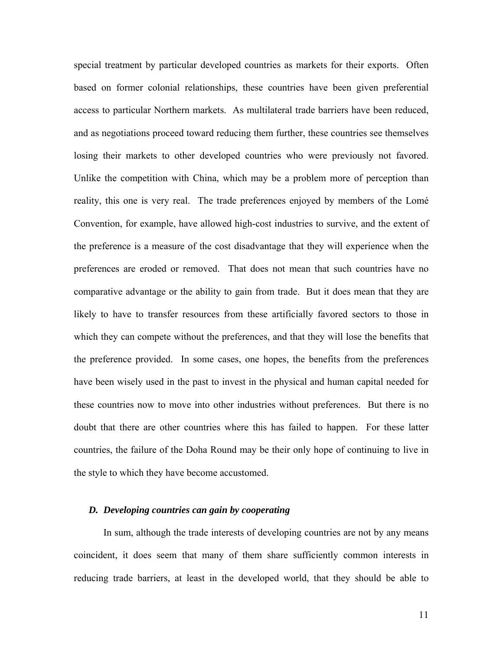special treatment by particular developed countries as markets for their exports. Often based on former colonial relationships, these countries have been given preferential access to particular Northern markets. As multilateral trade barriers have been reduced, and as negotiations proceed toward reducing them further, these countries see themselves losing their markets to other developed countries who were previously not favored. Unlike the competition with China, which may be a problem more of perception than reality, this one is very real. The trade preferences enjoyed by members of the Lomé Convention, for example, have allowed high-cost industries to survive, and the extent of the preference is a measure of the cost disadvantage that they will experience when the preferences are eroded or removed. That does not mean that such countries have no comparative advantage or the ability to gain from trade. But it does mean that they are likely to have to transfer resources from these artificially favored sectors to those in which they can compete without the preferences, and that they will lose the benefits that the preference provided. In some cases, one hopes, the benefits from the preferences have been wisely used in the past to invest in the physical and human capital needed for these countries now to move into other industries without preferences. But there is no doubt that there are other countries where this has failed to happen. For these latter countries, the failure of the Doha Round may be their only hope of continuing to live in the style to which they have become accustomed.

#### *D. Developing countries can gain by cooperating*

 In sum, although the trade interests of developing countries are not by any means coincident, it does seem that many of them share sufficiently common interests in reducing trade barriers, at least in the developed world, that they should be able to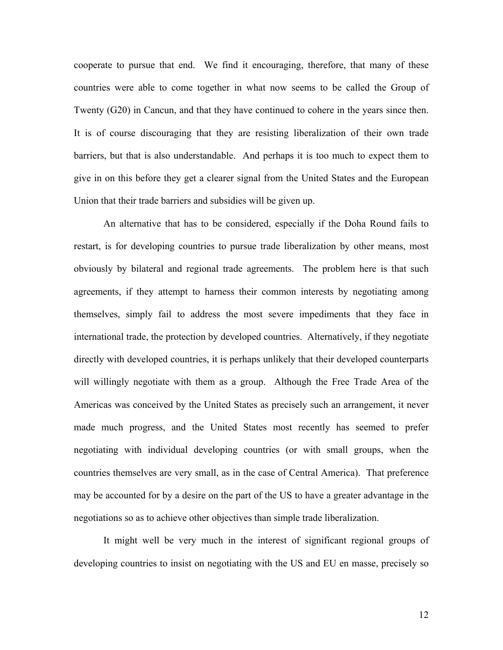cooperate to pursue that end. We find it encouraging, therefore, that many of these countries were able to come together in what now seems to be called the Group of Twenty (G20) in Cancun, and that they have continued to cohere in the years since then. It is of course discouraging that they are resisting liberalization of their own trade barriers, but that is also understandable. And perhaps it is too much to expect them to give in on this before they get a clearer signal from the United States and the European Union that their trade barriers and subsidies will be given up.

 An alternative that has to be considered, especially if the Doha Round fails to restart, is for developing countries to pursue trade liberalization by other means, most obviously by bilateral and regional trade agreements. The problem here is that such agreements, if they attempt to harness their common interests by negotiating among themselves, simply fail to address the most severe impediments that they face in international trade, the protection by developed countries. Alternatively, if they negotiate directly with developed countries, it is perhaps unlikely that their developed counterparts will willingly negotiate with them as a group. Although the Free Trade Area of the Americas was conceived by the United States as precisely such an arrangement, it never made much progress, and the United States most recently has seemed to prefer negotiating with individual developing countries (or with small groups, when the countries themselves are very small, as in the case of Central America). That preference may be accounted for by a desire on the part of the US to have a greater advantage in the negotiations so as to achieve other objectives than simple trade liberalization.

 It might well be very much in the interest of significant regional groups of developing countries to insist on negotiating with the US and EU en masse, precisely so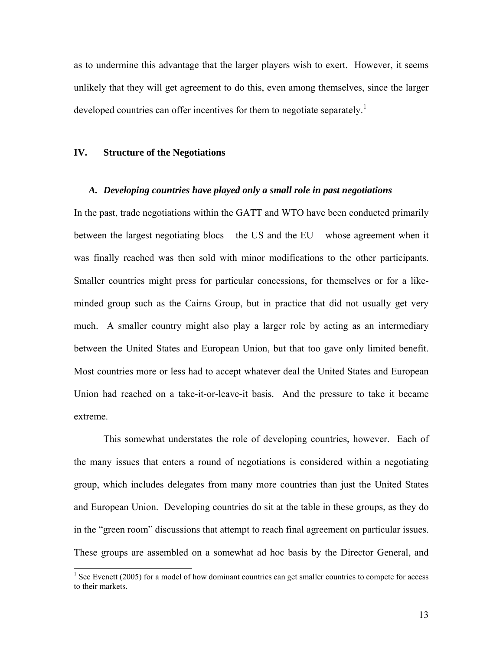as to undermine this advantage that the larger players wish to exert. However, it seems unlikely that they will get agreement to do this, even among themselves, since the larger developed countries can offer incentives for them to negotiate separately.<sup>[1](#page-13-0)</sup>

#### **IV. Structure of the Negotiations**

#### *A. Developing countries have played only a small role in past negotiations*

In the past, trade negotiations within the GATT and WTO have been conducted primarily between the largest negotiating blocs – the US and the EU – whose agreement when it was finally reached was then sold with minor modifications to the other participants. Smaller countries might press for particular concessions, for themselves or for a likeminded group such as the Cairns Group, but in practice that did not usually get very much. A smaller country might also play a larger role by acting as an intermediary between the United States and European Union, but that too gave only limited benefit. Most countries more or less had to accept whatever deal the United States and European Union had reached on a take-it-or-leave-it basis. And the pressure to take it became extreme.

 This somewhat understates the role of developing countries, however. Each of the many issues that enters a round of negotiations is considered within a negotiating group, which includes delegates from many more countries than just the United States and European Union. Developing countries do sit at the table in these groups, as they do in the "green room" discussions that attempt to reach final agreement on particular issues. These groups are assembled on a somewhat ad hoc basis by the Director General, and

<span id="page-13-0"></span><sup>&</sup>lt;sup>1</sup> See Evenett (2005) for a model of how dominant countries can get smaller countries to compete for access to their markets.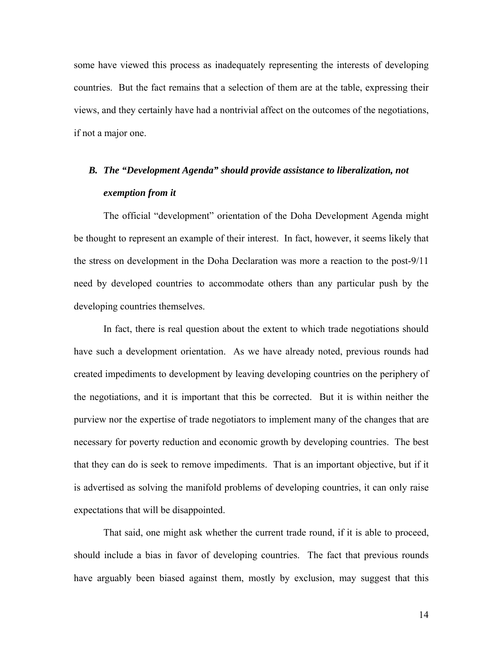some have viewed this process as inadequately representing the interests of developing countries. But the fact remains that a selection of them are at the table, expressing their views, and they certainly have had a nontrivial affect on the outcomes of the negotiations, if not a major one.

# *B. The "Development Agenda" should provide assistance to liberalization, not exemption from it*

 The official "development" orientation of the Doha Development Agenda might be thought to represent an example of their interest. In fact, however, it seems likely that the stress on development in the Doha Declaration was more a reaction to the post-9/11 need by developed countries to accommodate others than any particular push by the developing countries themselves.

 In fact, there is real question about the extent to which trade negotiations should have such a development orientation. As we have already noted, previous rounds had created impediments to development by leaving developing countries on the periphery of the negotiations, and it is important that this be corrected. But it is within neither the purview nor the expertise of trade negotiators to implement many of the changes that are necessary for poverty reduction and economic growth by developing countries. The best that they can do is seek to remove impediments. That is an important objective, but if it is advertised as solving the manifold problems of developing countries, it can only raise expectations that will be disappointed.

 That said, one might ask whether the current trade round, if it is able to proceed, should include a bias in favor of developing countries. The fact that previous rounds have arguably been biased against them, mostly by exclusion, may suggest that this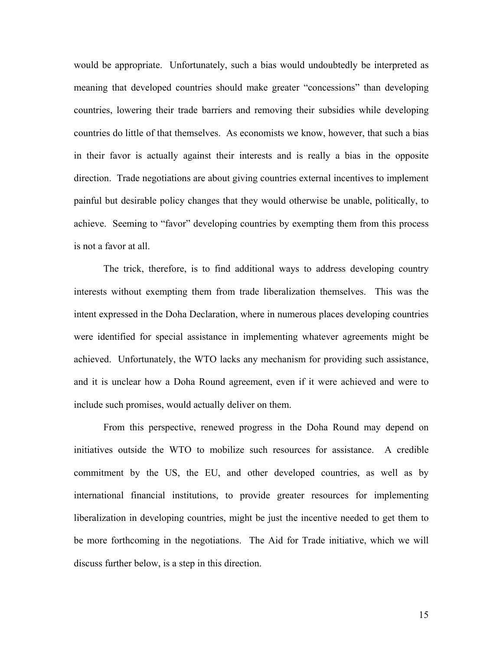would be appropriate. Unfortunately, such a bias would undoubtedly be interpreted as meaning that developed countries should make greater "concessions" than developing countries, lowering their trade barriers and removing their subsidies while developing countries do little of that themselves. As economists we know, however, that such a bias in their favor is actually against their interests and is really a bias in the opposite direction. Trade negotiations are about giving countries external incentives to implement painful but desirable policy changes that they would otherwise be unable, politically, to achieve. Seeming to "favor" developing countries by exempting them from this process is not a favor at all.

 The trick, therefore, is to find additional ways to address developing country interests without exempting them from trade liberalization themselves. This was the intent expressed in the Doha Declaration, where in numerous places developing countries were identified for special assistance in implementing whatever agreements might be achieved. Unfortunately, the WTO lacks any mechanism for providing such assistance, and it is unclear how a Doha Round agreement, even if it were achieved and were to include such promises, would actually deliver on them.

 From this perspective, renewed progress in the Doha Round may depend on initiatives outside the WTO to mobilize such resources for assistance. A credible commitment by the US, the EU, and other developed countries, as well as by international financial institutions, to provide greater resources for implementing liberalization in developing countries, might be just the incentive needed to get them to be more forthcoming in the negotiations. The Aid for Trade initiative, which we will discuss further below, is a step in this direction.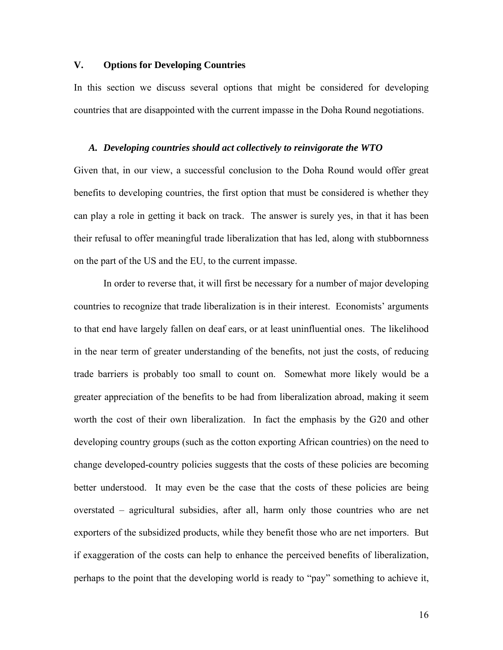#### **V. Options for Developing Countries**

In this section we discuss several options that might be considered for developing countries that are disappointed with the current impasse in the Doha Round negotiations.

#### *A. Developing countries should act collectively to reinvigorate the WTO*

Given that, in our view, a successful conclusion to the Doha Round would offer great benefits to developing countries, the first option that must be considered is whether they can play a role in getting it back on track. The answer is surely yes, in that it has been their refusal to offer meaningful trade liberalization that has led, along with stubbornness on the part of the US and the EU, to the current impasse.

 In order to reverse that, it will first be necessary for a number of major developing countries to recognize that trade liberalization is in their interest. Economists' arguments to that end have largely fallen on deaf ears, or at least uninfluential ones. The likelihood in the near term of greater understanding of the benefits, not just the costs, of reducing trade barriers is probably too small to count on. Somewhat more likely would be a greater appreciation of the benefits to be had from liberalization abroad, making it seem worth the cost of their own liberalization. In fact the emphasis by the G20 and other developing country groups (such as the cotton exporting African countries) on the need to change developed-country policies suggests that the costs of these policies are becoming better understood. It may even be the case that the costs of these policies are being overstated – agricultural subsidies, after all, harm only those countries who are net exporters of the subsidized products, while they benefit those who are net importers. But if exaggeration of the costs can help to enhance the perceived benefits of liberalization, perhaps to the point that the developing world is ready to "pay" something to achieve it,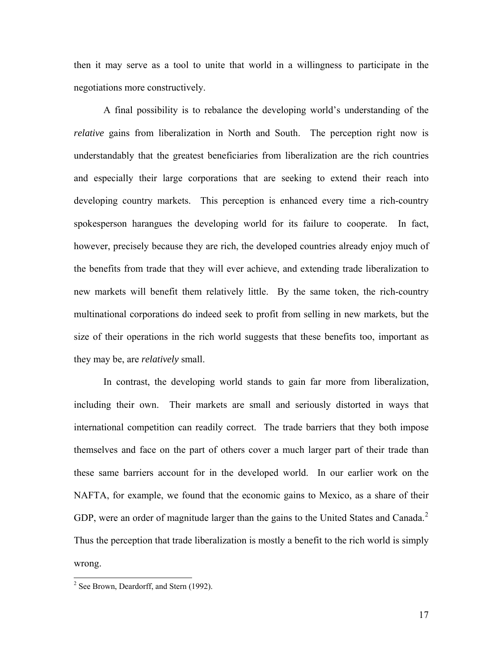then it may serve as a tool to unite that world in a willingness to participate in the negotiations more constructively.

 A final possibility is to rebalance the developing world's understanding of the *relative* gains from liberalization in North and South. The perception right now is understandably that the greatest beneficiaries from liberalization are the rich countries and especially their large corporations that are seeking to extend their reach into developing country markets. This perception is enhanced every time a rich-country spokesperson harangues the developing world for its failure to cooperate. In fact, however, precisely because they are rich, the developed countries already enjoy much of the benefits from trade that they will ever achieve, and extending trade liberalization to new markets will benefit them relatively little. By the same token, the rich-country multinational corporations do indeed seek to profit from selling in new markets, but the size of their operations in the rich world suggests that these benefits too, important as they may be, are *relatively* small.

 In contrast, the developing world stands to gain far more from liberalization, including their own. Their markets are small and seriously distorted in ways that international competition can readily correct. The trade barriers that they both impose themselves and face on the part of others cover a much larger part of their trade than these same barriers account for in the developed world. In our earlier work on the NAFTA, for example, we found that the economic gains to Mexico, as a share of their GDP, were an order of magnitude larger than the gains to the United States and Canada.<sup>[2](#page-17-0)</sup> Thus the perception that trade liberalization is mostly a benefit to the rich world is simply wrong.

 $\overline{\phantom{a}}$ 

<span id="page-17-0"></span><sup>&</sup>lt;sup>2</sup> See Brown, Deardorff, and Stern (1992).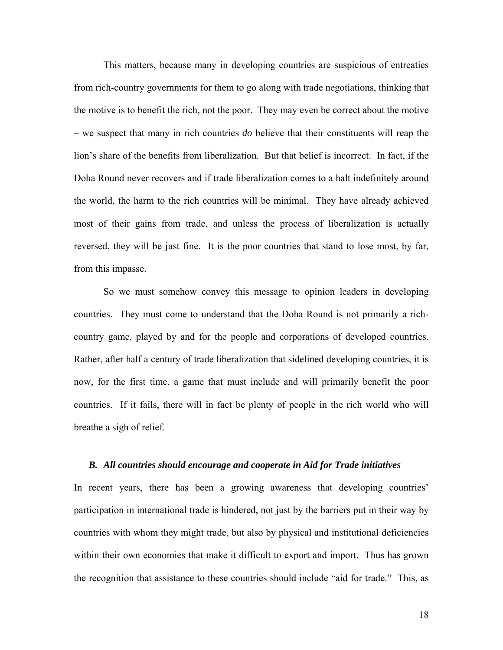This matters, because many in developing countries are suspicious of entreaties from rich-country governments for them to go along with trade negotiations, thinking that the motive is to benefit the rich, not the poor. They may even be correct about the motive – we suspect that many in rich countries *do* believe that their constituents will reap the lion's share of the benefits from liberalization. But that belief is incorrect. In fact, if the Doha Round never recovers and if trade liberalization comes to a halt indefinitely around the world, the harm to the rich countries will be minimal. They have already achieved most of their gains from trade, and unless the process of liberalization is actually reversed, they will be just fine. It is the poor countries that stand to lose most, by far, from this impasse.

 So we must somehow convey this message to opinion leaders in developing countries. They must come to understand that the Doha Round is not primarily a richcountry game, played by and for the people and corporations of developed countries. Rather, after half a century of trade liberalization that sidelined developing countries, it is now, for the first time, a game that must include and will primarily benefit the poor countries. If it fails, there will in fact be plenty of people in the rich world who will breathe a sigh of relief.

#### *B. All countries should encourage and cooperate in Aid for Trade initiatives*

In recent years, there has been a growing awareness that developing countries' participation in international trade is hindered, not just by the barriers put in their way by countries with whom they might trade, but also by physical and institutional deficiencies within their own economies that make it difficult to export and import. Thus has grown the recognition that assistance to these countries should include "aid for trade." This, as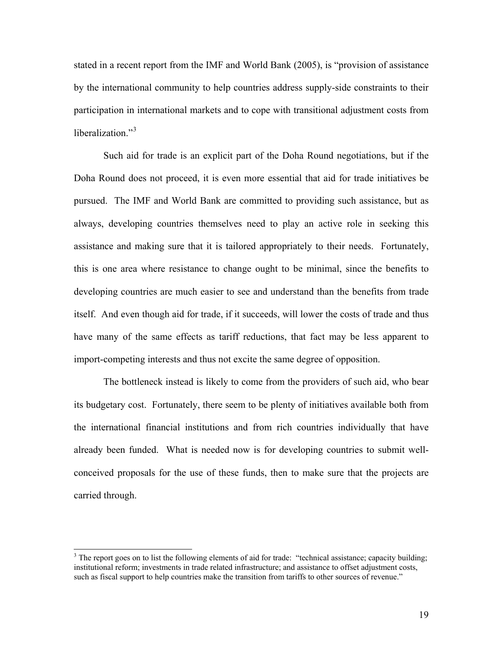stated in a recent report from the IMF and World Bank (2005), is "provision of assistance by the international community to help countries address supply-side constraints to their participation in international markets and to cope with transitional adjustment costs from liberalization $^{3}$  $^{3}$  $^{3}$ 

 Such aid for trade is an explicit part of the Doha Round negotiations, but if the Doha Round does not proceed, it is even more essential that aid for trade initiatives be pursued. The IMF and World Bank are committed to providing such assistance, but as always, developing countries themselves need to play an active role in seeking this assistance and making sure that it is tailored appropriately to their needs. Fortunately, this is one area where resistance to change ought to be minimal, since the benefits to developing countries are much easier to see and understand than the benefits from trade itself. And even though aid for trade, if it succeeds, will lower the costs of trade and thus have many of the same effects as tariff reductions, that fact may be less apparent to import-competing interests and thus not excite the same degree of opposition.

 The bottleneck instead is likely to come from the providers of such aid, who bear its budgetary cost. Fortunately, there seem to be plenty of initiatives available both from the international financial institutions and from rich countries individually that have already been funded. What is needed now is for developing countries to submit wellconceived proposals for the use of these funds, then to make sure that the projects are carried through.

 $\overline{\phantom{a}}$ 

<span id="page-19-0"></span> $3$  The report goes on to list the following elements of aid for trade: "technical assistance; capacity building; institutional reform; investments in trade related infrastructure; and assistance to offset adjustment costs, such as fiscal support to help countries make the transition from tariffs to other sources of revenue."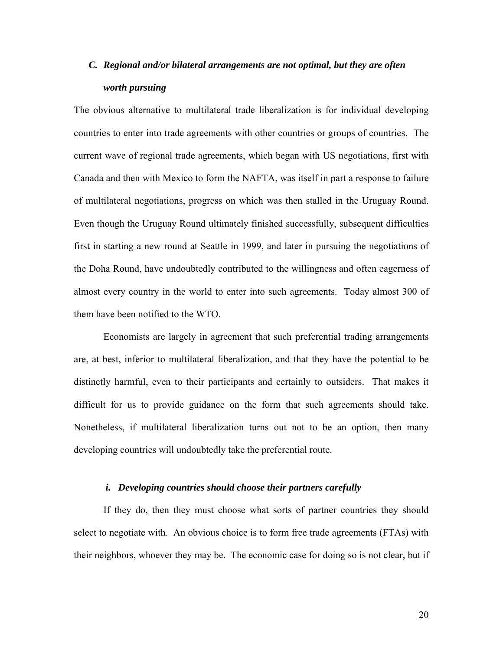# *C. Regional and/or bilateral arrangements are not optimal, but they are often worth pursuing*

The obvious alternative to multilateral trade liberalization is for individual developing countries to enter into trade agreements with other countries or groups of countries. The current wave of regional trade agreements, which began with US negotiations, first with Canada and then with Mexico to form the NAFTA, was itself in part a response to failure of multilateral negotiations, progress on which was then stalled in the Uruguay Round. Even though the Uruguay Round ultimately finished successfully, subsequent difficulties first in starting a new round at Seattle in 1999, and later in pursuing the negotiations of the Doha Round, have undoubtedly contributed to the willingness and often eagerness of almost every country in the world to enter into such agreements. Today almost 300 of them have been notified to the WTO.

 Economists are largely in agreement that such preferential trading arrangements are, at best, inferior to multilateral liberalization, and that they have the potential to be distinctly harmful, even to their participants and certainly to outsiders. That makes it difficult for us to provide guidance on the form that such agreements should take. Nonetheless, if multilateral liberalization turns out not to be an option, then many developing countries will undoubtedly take the preferential route.

#### *i. Developing countries should choose their partners carefully*

 If they do, then they must choose what sorts of partner countries they should select to negotiate with. An obvious choice is to form free trade agreements (FTAs) with their neighbors, whoever they may be. The economic case for doing so is not clear, but if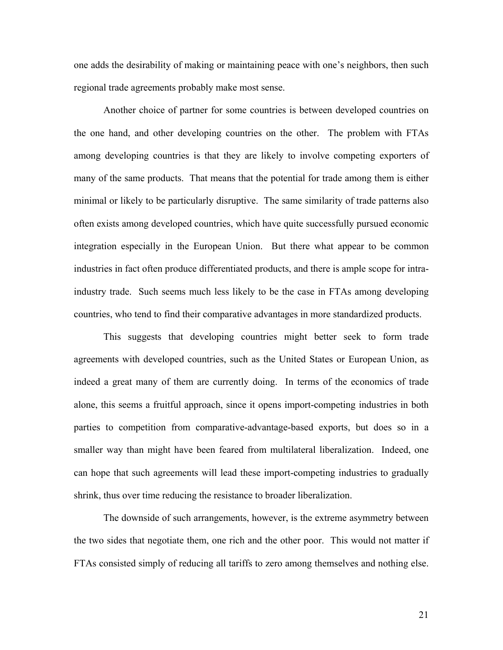one adds the desirability of making or maintaining peace with one's neighbors, then such regional trade agreements probably make most sense.

 Another choice of partner for some countries is between developed countries on the one hand, and other developing countries on the other. The problem with FTAs among developing countries is that they are likely to involve competing exporters of many of the same products. That means that the potential for trade among them is either minimal or likely to be particularly disruptive. The same similarity of trade patterns also often exists among developed countries, which have quite successfully pursued economic integration especially in the European Union. But there what appear to be common industries in fact often produce differentiated products, and there is ample scope for intraindustry trade. Such seems much less likely to be the case in FTAs among developing countries, who tend to find their comparative advantages in more standardized products.

 This suggests that developing countries might better seek to form trade agreements with developed countries, such as the United States or European Union, as indeed a great many of them are currently doing. In terms of the economics of trade alone, this seems a fruitful approach, since it opens import-competing industries in both parties to competition from comparative-advantage-based exports, but does so in a smaller way than might have been feared from multilateral liberalization. Indeed, one can hope that such agreements will lead these import-competing industries to gradually shrink, thus over time reducing the resistance to broader liberalization.

 The downside of such arrangements, however, is the extreme asymmetry between the two sides that negotiate them, one rich and the other poor. This would not matter if FTAs consisted simply of reducing all tariffs to zero among themselves and nothing else.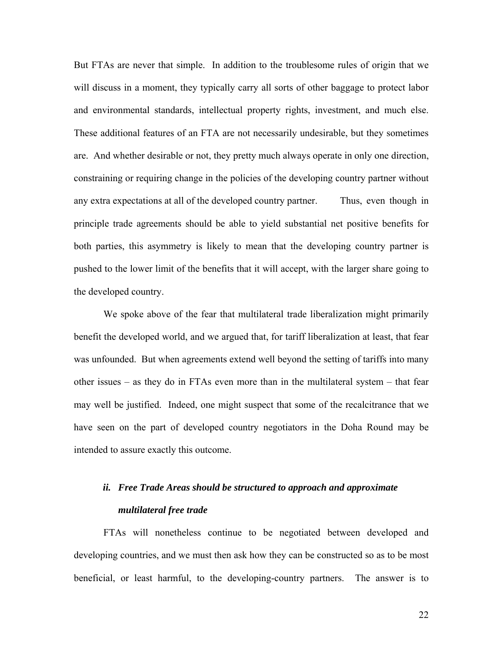But FTAs are never that simple. In addition to the troublesome rules of origin that we will discuss in a moment, they typically carry all sorts of other baggage to protect labor and environmental standards, intellectual property rights, investment, and much else. These additional features of an FTA are not necessarily undesirable, but they sometimes are. And whether desirable or not, they pretty much always operate in only one direction, constraining or requiring change in the policies of the developing country partner without any extra expectations at all of the developed country partner. Thus, even though in principle trade agreements should be able to yield substantial net positive benefits for both parties, this asymmetry is likely to mean that the developing country partner is pushed to the lower limit of the benefits that it will accept, with the larger share going to the developed country.

We spoke above of the fear that multilateral trade liberalization might primarily benefit the developed world, and we argued that, for tariff liberalization at least, that fear was unfounded. But when agreements extend well beyond the setting of tariffs into many other issues – as they do in FTAs even more than in the multilateral system – that fear may well be justified. Indeed, one might suspect that some of the recalcitrance that we have seen on the part of developed country negotiators in the Doha Round may be intended to assure exactly this outcome.

# *ii. Free Trade Areas should be structured to approach and approximate multilateral free trade*

 FTAs will nonetheless continue to be negotiated between developed and developing countries, and we must then ask how they can be constructed so as to be most beneficial, or least harmful, to the developing-country partners. The answer is to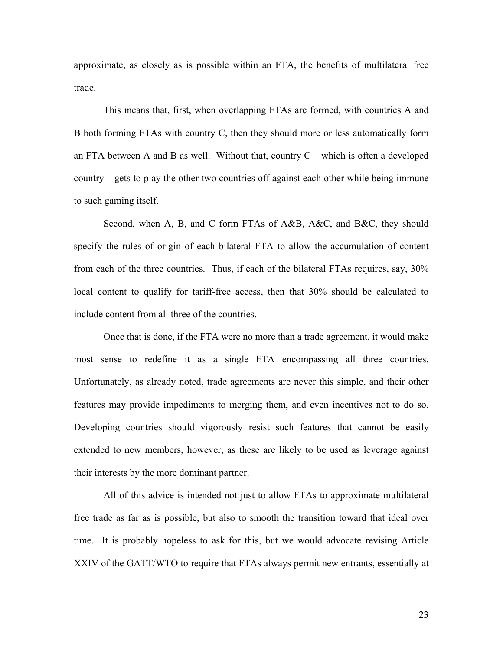approximate, as closely as is possible within an FTA, the benefits of multilateral free trade.

This means that, first, when overlapping FTAs are formed, with countries A and B both forming FTAs with country C, then they should more or less automatically form an FTA between A and B as well. Without that, country  $C$  – which is often a developed country – gets to play the other two countries off against each other while being immune to such gaming itself.

Second, when A, B, and C form FTAs of A&B, A&C, and B&C, they should specify the rules of origin of each bilateral FTA to allow the accumulation of content from each of the three countries. Thus, if each of the bilateral FTAs requires, say, 30% local content to qualify for tariff-free access, then that 30% should be calculated to include content from all three of the countries.

Once that is done, if the FTA were no more than a trade agreement, it would make most sense to redefine it as a single FTA encompassing all three countries. Unfortunately, as already noted, trade agreements are never this simple, and their other features may provide impediments to merging them, and even incentives not to do so. Developing countries should vigorously resist such features that cannot be easily extended to new members, however, as these are likely to be used as leverage against their interests by the more dominant partner.

All of this advice is intended not just to allow FTAs to approximate multilateral free trade as far as is possible, but also to smooth the transition toward that ideal over time. It is probably hopeless to ask for this, but we would advocate revising Article XXIV of the GATT/WTO to require that FTAs always permit new entrants, essentially at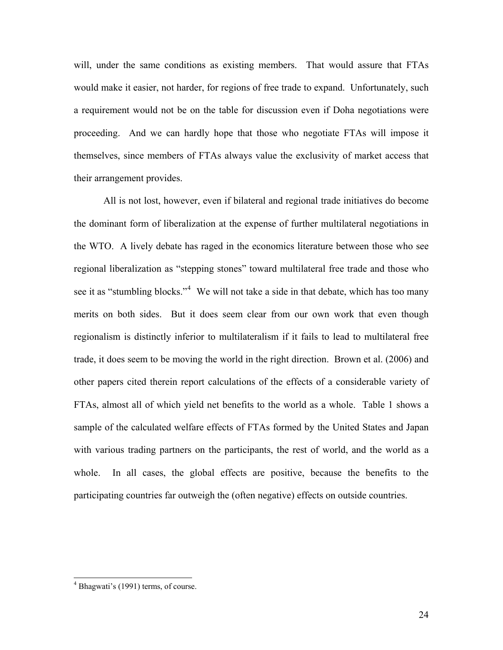will, under the same conditions as existing members. That would assure that FTAs would make it easier, not harder, for regions of free trade to expand. Unfortunately, such a requirement would not be on the table for discussion even if Doha negotiations were proceeding. And we can hardly hope that those who negotiate FTAs will impose it themselves, since members of FTAs always value the exclusivity of market access that their arrangement provides.

All is not lost, however, even if bilateral and regional trade initiatives do become the dominant form of liberalization at the expense of further multilateral negotiations in the WTO. A lively debate has raged in the economics literature between those who see regional liberalization as "stepping stones" toward multilateral free trade and those who see it as "stumbling blocks."<sup>[4](#page-24-0)</sup> We will not take a side in that debate, which has too many merits on both sides. But it does seem clear from our own work that even though regionalism is distinctly inferior to multilateralism if it fails to lead to multilateral free trade, it does seem to be moving the world in the right direction. Brown et al. (2006) and other papers cited therein report calculations of the effects of a considerable variety of FTAs, almost all of which yield net benefits to the world as a whole. Table 1 shows a sample of the calculated welfare effects of FTAs formed by the United States and Japan with various trading partners on the participants, the rest of world, and the world as a whole. In all cases, the global effects are positive, because the benefits to the participating countries far outweigh the (often negative) effects on outside countries.

 $\overline{\phantom{a}}$ 

<span id="page-24-0"></span><sup>&</sup>lt;sup>4</sup> Bhagwati's (1991) terms, of course.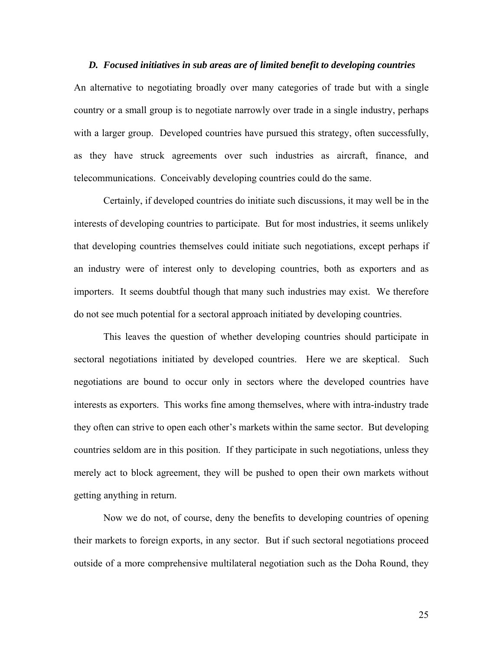#### *D. Focused initiatives in sub areas are of limited benefit to developing countries*

An alternative to negotiating broadly over many categories of trade but with a single country or a small group is to negotiate narrowly over trade in a single industry, perhaps with a larger group. Developed countries have pursued this strategy, often successfully, as they have struck agreements over such industries as aircraft, finance, and telecommunications. Conceivably developing countries could do the same.

 Certainly, if developed countries do initiate such discussions, it may well be in the interests of developing countries to participate. But for most industries, it seems unlikely that developing countries themselves could initiate such negotiations, except perhaps if an industry were of interest only to developing countries, both as exporters and as importers. It seems doubtful though that many such industries may exist. We therefore do not see much potential for a sectoral approach initiated by developing countries.

 This leaves the question of whether developing countries should participate in sectoral negotiations initiated by developed countries. Here we are skeptical. Such negotiations are bound to occur only in sectors where the developed countries have interests as exporters. This works fine among themselves, where with intra-industry trade they often can strive to open each other's markets within the same sector. But developing countries seldom are in this position. If they participate in such negotiations, unless they merely act to block agreement, they will be pushed to open their own markets without getting anything in return.

 Now we do not, of course, deny the benefits to developing countries of opening their markets to foreign exports, in any sector. But if such sectoral negotiations proceed outside of a more comprehensive multilateral negotiation such as the Doha Round, they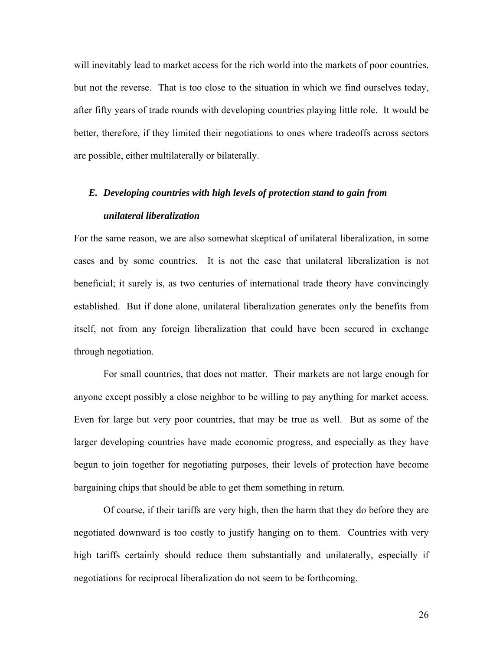will inevitably lead to market access for the rich world into the markets of poor countries, but not the reverse. That is too close to the situation in which we find ourselves today, after fifty years of trade rounds with developing countries playing little role. It would be better, therefore, if they limited their negotiations to ones where tradeoffs across sectors are possible, either multilaterally or bilaterally.

# *E. Developing countries with high levels of protection stand to gain from unilateral liberalization*

For the same reason, we are also somewhat skeptical of unilateral liberalization, in some cases and by some countries. It is not the case that unilateral liberalization is not beneficial; it surely is, as two centuries of international trade theory have convincingly established. But if done alone, unilateral liberalization generates only the benefits from itself, not from any foreign liberalization that could have been secured in exchange through negotiation.

 For small countries, that does not matter. Their markets are not large enough for anyone except possibly a close neighbor to be willing to pay anything for market access. Even for large but very poor countries, that may be true as well. But as some of the larger developing countries have made economic progress, and especially as they have begun to join together for negotiating purposes, their levels of protection have become bargaining chips that should be able to get them something in return.

 Of course, if their tariffs are very high, then the harm that they do before they are negotiated downward is too costly to justify hanging on to them. Countries with very high tariffs certainly should reduce them substantially and unilaterally, especially if negotiations for reciprocal liberalization do not seem to be forthcoming.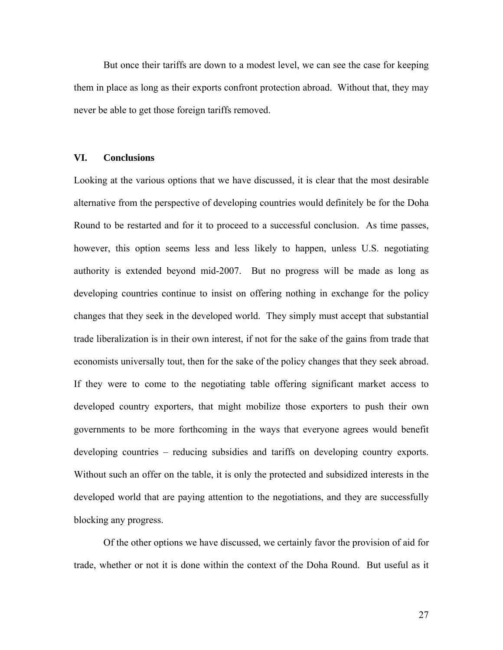But once their tariffs are down to a modest level, we can see the case for keeping them in place as long as their exports confront protection abroad. Without that, they may never be able to get those foreign tariffs removed.

#### **VI. Conclusions**

Looking at the various options that we have discussed, it is clear that the most desirable alternative from the perspective of developing countries would definitely be for the Doha Round to be restarted and for it to proceed to a successful conclusion. As time passes, however, this option seems less and less likely to happen, unless U.S. negotiating authority is extended beyond mid-2007. But no progress will be made as long as developing countries continue to insist on offering nothing in exchange for the policy changes that they seek in the developed world. They simply must accept that substantial trade liberalization is in their own interest, if not for the sake of the gains from trade that economists universally tout, then for the sake of the policy changes that they seek abroad. If they were to come to the negotiating table offering significant market access to developed country exporters, that might mobilize those exporters to push their own governments to be more forthcoming in the ways that everyone agrees would benefit developing countries – reducing subsidies and tariffs on developing country exports. Without such an offer on the table, it is only the protected and subsidized interests in the developed world that are paying attention to the negotiations, and they are successfully blocking any progress.

 Of the other options we have discussed, we certainly favor the provision of aid for trade, whether or not it is done within the context of the Doha Round. But useful as it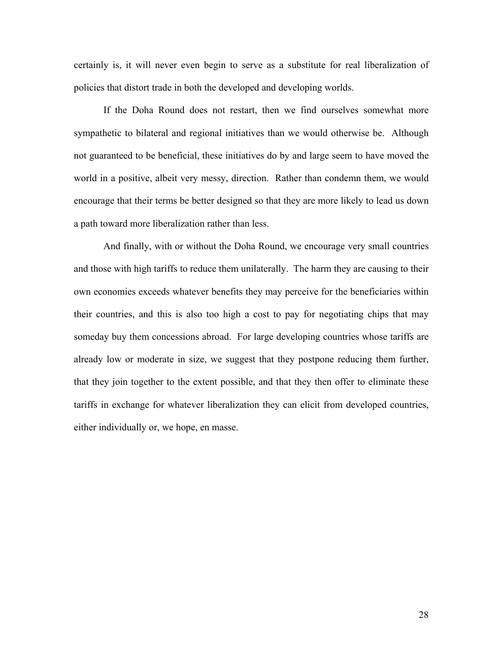certainly is, it will never even begin to serve as a substitute for real liberalization of policies that distort trade in both the developed and developing worlds.

 If the Doha Round does not restart, then we find ourselves somewhat more sympathetic to bilateral and regional initiatives than we would otherwise be. Although not guaranteed to be beneficial, these initiatives do by and large seem to have moved the world in a positive, albeit very messy, direction. Rather than condemn them, we would encourage that their terms be better designed so that they are more likely to lead us down a path toward more liberalization rather than less.

 And finally, with or without the Doha Round, we encourage very small countries and those with high tariffs to reduce them unilaterally. The harm they are causing to their own economies exceeds whatever benefits they may perceive for the beneficiaries within their countries, and this is also too high a cost to pay for negotiating chips that may someday buy them concessions abroad. For large developing countries whose tariffs are already low or moderate in size, we suggest that they postpone reducing them further, that they join together to the extent possible, and that they then offer to eliminate these tariffs in exchange for whatever liberalization they can elicit from developed countries, either individually or, we hope, en masse.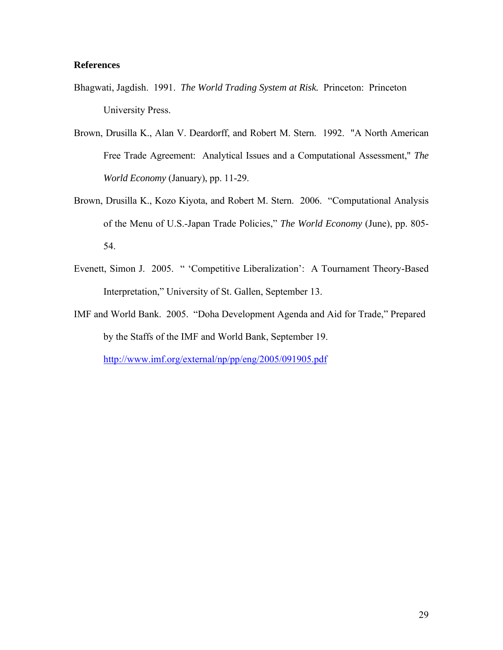### **References**

- Bhagwati, Jagdish. 1991. *The World Trading System at Risk.* Princeton: Princeton University Press.
- Brown, Drusilla K., Alan V. Deardorff, and Robert M. Stern. 1992. "A North American Free Trade Agreement: Analytical Issues and a Computational Assessment," *The World Economy* (January), pp. 11-29.
- Brown, Drusilla K., Kozo Kiyota, and Robert M. Stern. 2006. "Computational Analysis of the Menu of U.S.-Japan Trade Policies," *The World Economy* (June), pp. 805- 54.
- Evenett, Simon J. 2005. " 'Competitive Liberalization': A Tournament Theory-Based Interpretation," University of St. Gallen, September 13.
- IMF and World Bank. 2005. "Doha Development Agenda and Aid for Trade," Prepared by the Staffs of the IMF and World Bank, September 19.

<http://www.imf.org/external/np/pp/eng/2005/091905.pdf>